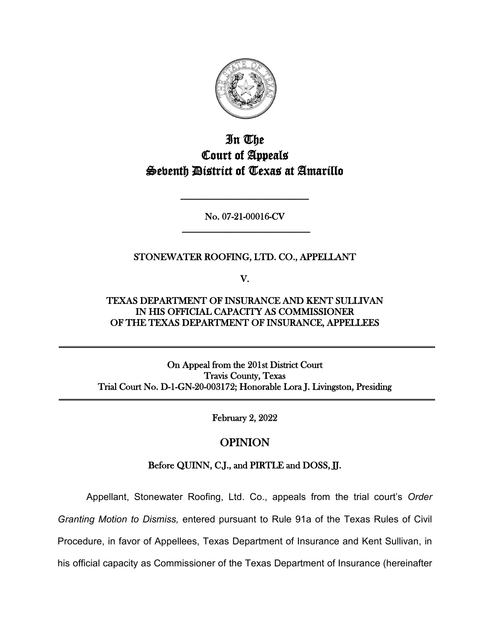

# In The Court of Appeals Seventh District of Texas at Amarillo

No. 07-21-00016-CV **\_\_\_\_\_\_\_\_\_\_\_\_\_\_\_\_\_\_\_\_\_\_\_\_**

**\_\_\_\_\_\_\_\_\_\_\_\_\_\_\_\_\_\_\_\_\_\_\_\_**

## STONEWATER ROOFING, LTD. CO., APPELLANT

V.

TEXAS DEPARTMENT OF INSURANCE AND KENT SULLIVAN IN HIS OFFICIAL CAPACITY AS COMMISSIONER OF THE TEXAS DEPARTMENT OF INSURANCE, APPELLEES

On Appeal from the 201st District Court Travis County, Texas Trial Court No. D-1-GN-20-003172; Honorable Lora J. Livingston, Presiding

February 2, 2022

# OPINION

## Before QUINN, C.J., and PIRTLE and DOSS, JJ.

Appellant, Stonewater Roofing, Ltd. Co., appeals from the trial court's *Order* 

*Granting Motion to Dismiss,* entered pursuant to Rule 91a of the Texas Rules of Civil

Procedure, in favor of Appellees, Texas Department of Insurance and Kent Sullivan, in

his official capacity as Commissioner of the Texas Department of Insurance (hereinafter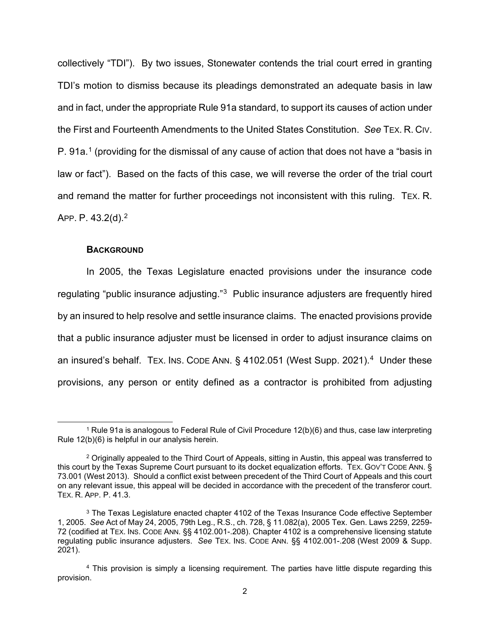collectively "TDI"). By two issues, Stonewater contends the trial court erred in granting TDI's motion to dismiss because its pleadings demonstrated an adequate basis in law and in fact, under the appropriate Rule 91a standard, to support its causes of action under the First and Fourteenth Amendments to the United States Constitution. *See* TEX. R. CIV. P. 9[1](#page-1-0)a.<sup>1</sup> (providing for the dismissal of any cause of action that does not have a "basis in law or fact"). Based on the facts of this case, we will reverse the order of the trial court and remand the matter for further proceedings not inconsistent with this ruling. TEX. R. APP. P. 43.2(d).[2](#page-1-1) 

#### **BACKGROUND**

In 2005, the Texas Legislature enacted provisions under the insurance code regulating "public insurance adjusting."[3](#page-1-2) Public insurance adjusters are frequently hired by an insured to help resolve and settle insurance claims. The enacted provisions provide that a public insurance adjuster must be licensed in order to adjust insurance claims on an insured's behalf. TEX. INS. CODE ANN. § [4](#page-1-3)102.051 (West Supp. 2021).<sup>4</sup> Under these provisions, any person or entity defined as a contractor is prohibited from adjusting

<span id="page-1-0"></span><sup>1</sup> Rule 91a is analogous to Federal Rule of Civil Procedure 12(b)(6) and thus, case law interpreting Rule 12(b)(6) is helpful in our analysis herein.

<span id="page-1-1"></span><sup>&</sup>lt;sup>2</sup> Originally appealed to the Third Court of Appeals, sitting in Austin, this appeal was transferred to this court by the Texas Supreme Court pursuant to its docket equalization efforts. TEX. GOV'T CODE ANN. § 73.001 (West 2013). Should a conflict exist between precedent of the Third Court of Appeals and this court on any relevant issue, this appeal will be decided in accordance with the precedent of the transferor court. TEX. R. APP. P. 41.3.

<span id="page-1-2"></span><sup>&</sup>lt;sup>3</sup> The Texas Legislature enacted chapter 4102 of the Texas Insurance Code effective September 1, 2005. *See* Act of May 24, 2005, 79th Leg., R.S., ch. 728, § 11.082(a), 2005 Tex. Gen. Laws 2259, 2259- 72 (codified at TEX. INS. CODE ANN. §§ 4102.001-.208). Chapter 4102 is a comprehensive licensing statute regulating public insurance adjusters. *See* TEX. INS. CODE ANN. §§ 4102.001-.208 (West 2009 & Supp. 2021).

<span id="page-1-3"></span><sup>4</sup> This provision is simply a licensing requirement. The parties have little dispute regarding this provision.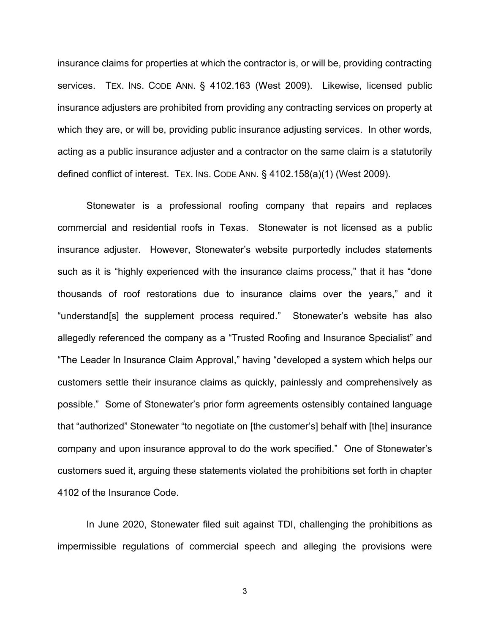insurance claims for properties at which the contractor is, or will be, providing contracting services. TEX. INS. CODE ANN. § 4102.163 (West 2009). Likewise, licensed public insurance adjusters are prohibited from providing any contracting services on property at which they are, or will be, providing public insurance adjusting services. In other words, acting as a public insurance adjuster and a contractor on the same claim is a statutorily defined conflict of interest. TEX. INS. CODE ANN. § 4102.158(a)(1) (West 2009).

Stonewater is a professional roofing company that repairs and replaces commercial and residential roofs in Texas. Stonewater is not licensed as a public insurance adjuster. However, Stonewater's website purportedly includes statements such as it is "highly experienced with the insurance claims process," that it has "done thousands of roof restorations due to insurance claims over the years," and it "understand[s] the supplement process required." Stonewater's website has also allegedly referenced the company as a "Trusted Roofing and Insurance Specialist" and "The Leader In Insurance Claim Approval," having "developed a system which helps our customers settle their insurance claims as quickly, painlessly and comprehensively as possible." Some of Stonewater's prior form agreements ostensibly contained language that "authorized" Stonewater "to negotiate on [the customer's] behalf with [the] insurance company and upon insurance approval to do the work specified." One of Stonewater's customers sued it, arguing these statements violated the prohibitions set forth in chapter 4102 of the Insurance Code.

In June 2020, Stonewater filed suit against TDI, challenging the prohibitions as impermissible regulations of commercial speech and alleging the provisions were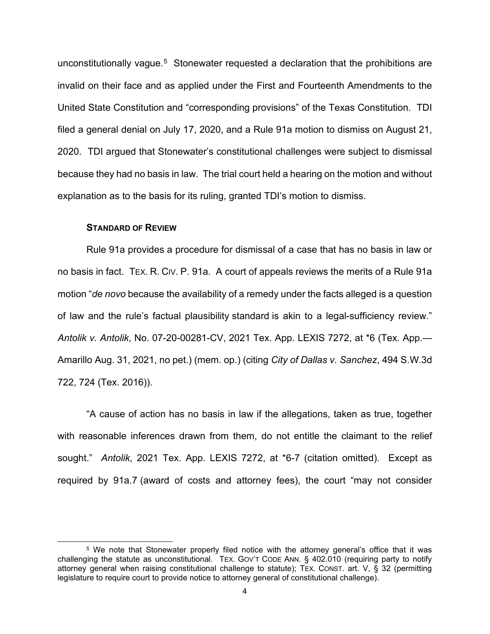unconstitutionally vague.<sup>[5](#page-3-0)</sup> Stonewater requested a declaration that the prohibitions are invalid on their face and as applied under the First and Fourteenth Amendments to the United State Constitution and "corresponding provisions" of the Texas Constitution. TDI filed a general denial on July 17, 2020, and a Rule 91a motion to dismiss on August 21, 2020. TDI argued that Stonewater's constitutional challenges were subject to dismissal because they had no basis in law. The trial court held a hearing on the motion and without explanation as to the basis for its ruling, granted TDI's motion to dismiss.

#### **STANDARD OF REVIEW**

Rule 91a provides a procedure for dismissal of a case that has no basis in law or no basis in fact. TEX. R. CIV. P. 91a. A court of appeals reviews the merits of a Rule 91a motion "*de novo* because the availability of a remedy under the facts alleged is a question of law and the rule's factual plausibility standard is akin to a legal-sufficiency review." *Antolik v. Antolik*, No. 07-20-00281-CV, 2021 Tex. App. LEXIS 7272, at \*6 (Tex. App.— Amarillo Aug. 31, 2021, no pet.) (mem. op.) (citing *City of Dallas v. Sanchez*, 494 S.W.3d 722, 724 (Tex. 2016)).

"A cause of action has no basis in law if the allegations, taken as true, together with reasonable inferences drawn from them, do not entitle the claimant to the relief sought." *Antolik*, 2021 Tex. App. LEXIS 7272, at \*6-7 (citation omitted). Except as required by 91a.7 (award of costs and attorney fees), the court "may not consider

<span id="page-3-0"></span><sup>5</sup> We note that Stonewater properly filed notice with the attorney general's office that it was challenging the statute as unconstitutional. TEX. GOV'T CODE ANN. § 402.010 (requiring party to notify attorney general when raising constitutional challenge to statute); TEX. CONST. art. V, § 32 (permitting legislature to require court to provide notice to attorney general of constitutional challenge).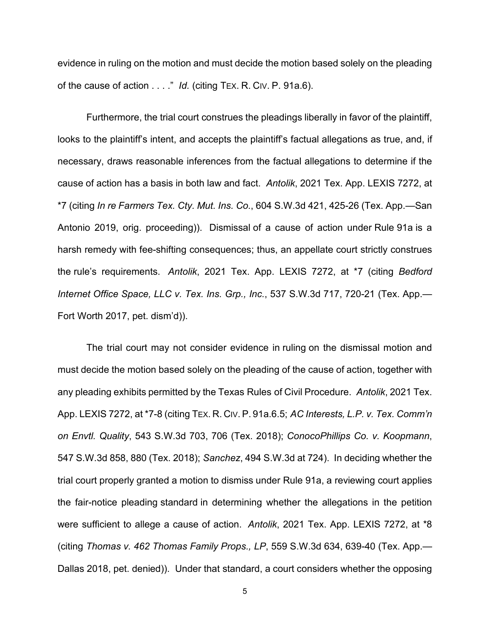evidence in ruling on the motion and must decide the motion based solely on the pleading of the cause of action . . . ." *Id.* (citing TEX. R. CIV. P. 91a.6).

Furthermore, the trial court construes the pleadings liberally in favor of the plaintiff, looks to the plaintiff's intent, and accepts the plaintiff's factual allegations as true, and, if necessary, draws reasonable inferences from the factual allegations to determine if the cause of action has a basis in both law and fact. *Antolik*, 2021 Tex. App. LEXIS 7272, at \*7 (citing *In re Farmers Tex. Cty. Mut. Ins. Co.*, 604 S.W.3d 421, 425-26 (Tex. App.—San Antonio 2019, orig. proceeding)). Dismissal of a cause of action under Rule 91a is a harsh remedy with fee-shifting consequences; thus, an appellate court strictly construes the rule's requirements. *Antolik*, 2021 Tex. App. LEXIS 7272, at \*7 (citing *Bedford Internet Office Space, LLC v. Tex. Ins. Grp., Inc.*, 537 S.W.3d 717, 720-21 (Tex. App.— Fort Worth 2017, pet. dism'd)).

The trial court may not consider evidence in ruling on the dismissal motion and must decide the motion based solely on the pleading of the cause of action, together with any pleading exhibits permitted by the Texas Rules of Civil Procedure. *Antolik*, 2021 Tex. App. LEXIS 7272, at \*7-8 (citing TEX. R. CIV. P. 91a.6.5; *AC Interests, L.P. v. Tex. Comm'n on Envtl. Quality*, 543 S.W.3d 703, 706 (Tex. 2018); *ConocoPhillips Co. v. Koopmann*, 547 S.W.3d 858, 880 (Tex. 2018); *Sanchez*, 494 S.W.3d at 724). In deciding whether the trial court properly granted a motion to dismiss under Rule 91a, a reviewing court applies the fair-notice pleading standard in determining whether the allegations in the petition were sufficient to allege a cause of action. *Antolik*, 2021 Tex. App. LEXIS 7272, at \*8 (citing *Thomas v. 462 Thomas Family Props., LP*, 559 S.W.3d 634, 639-40 (Tex. App.— Dallas 2018, pet. denied)). Under that standard, a court considers whether the opposing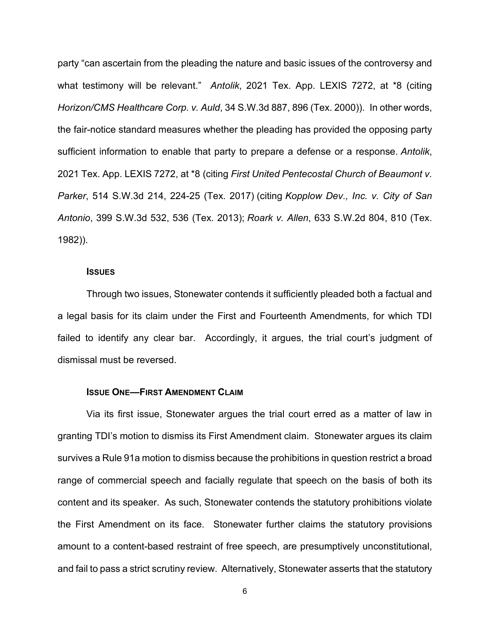party "can ascertain from the pleading the nature and basic issues of the controversy and what testimony will be relevant." *Antolik*, 2021 Tex. App. LEXIS 7272, at \*8 (citing *Horizon/CMS Healthcare Corp. v. Auld*, 34 S.W.3d 887, 896 (Tex. 2000)). In other words, the fair-notice standard measures whether the pleading has provided the opposing party sufficient information to enable that party to prepare a defense or a response. *Antolik*, 2021 Tex. App. LEXIS 7272, at \*8 (citing *First United Pentecostal Church of Beaumont v. Parker*, 514 S.W.3d 214, 224-25 (Tex. 2017) (citing *Kopplow Dev., Inc. v. City of San Antonio*, 399 S.W.3d 532, 536 (Tex. 2013); *Roark v. Allen*, 633 S.W.2d 804, 810 (Tex. 1982)).

#### **ISSUES**

Through two issues, Stonewater contends it sufficiently pleaded both a factual and a legal basis for its claim under the First and Fourteenth Amendments, for which TDI failed to identify any clear bar. Accordingly, it argues, the trial court's judgment of dismissal must be reversed.

#### **ISSUE ONE—FIRST AMENDMENT CLAIM**

Via its first issue, Stonewater argues the trial court erred as a matter of law in granting TDI's motion to dismiss its First Amendment claim. Stonewater argues its claim survives a Rule 91a motion to dismiss because the prohibitions in question restrict a broad range of commercial speech and facially regulate that speech on the basis of both its content and its speaker. As such, Stonewater contends the statutory prohibitions violate the First Amendment on its face. Stonewater further claims the statutory provisions amount to a content-based restraint of free speech, are presumptively unconstitutional, and fail to pass a strict scrutiny review. Alternatively, Stonewater asserts that the statutory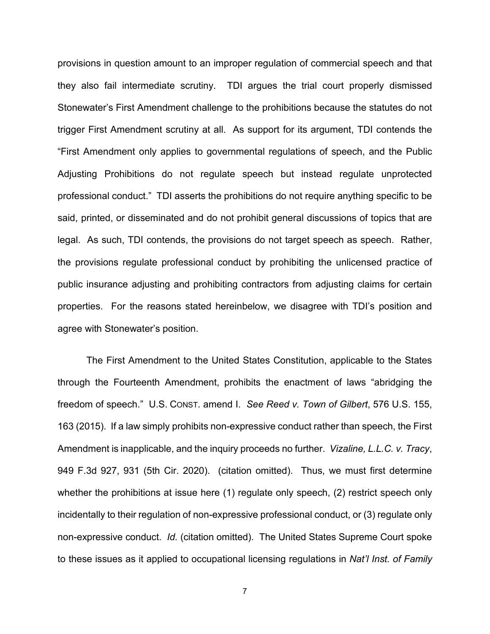provisions in question amount to an improper regulation of commercial speech and that they also fail intermediate scrutiny. TDI argues the trial court properly dismissed Stonewater's First Amendment challenge to the prohibitions because the statutes do not trigger First Amendment scrutiny at all. As support for its argument, TDI contends the "First Amendment only applies to governmental regulations of speech, and the Public Adjusting Prohibitions do not regulate speech but instead regulate unprotected professional conduct." TDI asserts the prohibitions do not require anything specific to be said, printed, or disseminated and do not prohibit general discussions of topics that are legal. As such, TDI contends, the provisions do not target speech as speech. Rather, the provisions regulate professional conduct by prohibiting the unlicensed practice of public insurance adjusting and prohibiting contractors from adjusting claims for certain properties. For the reasons stated hereinbelow, we disagree with TDI's position and agree with Stonewater's position.

The First Amendment to the United States Constitution, applicable to the States through the Fourteenth Amendment, prohibits the enactment of laws "abridging the freedom of speech." U.S. CONST. amend I. *See Reed v. Town of Gilbert*, 576 U.S. 155, 163 (2015). If a law simply prohibits non-expressive conduct rather than speech, the First Amendment is inapplicable, and the inquiry proceeds no further. *Vizaline, L.L.C. v. Tracy*, 949 F.3d 927, 931 (5th Cir. 2020). (citation omitted). Thus, we must first determine whether the prohibitions at issue here (1) regulate only speech, (2) restrict speech only incidentally to their regulation of non-expressive professional conduct, or (3) regulate only non-expressive conduct. *Id.* (citation omitted). The United States Supreme Court spoke to these issues as it applied to occupational licensing regulations in *Nat'l Inst. of Family*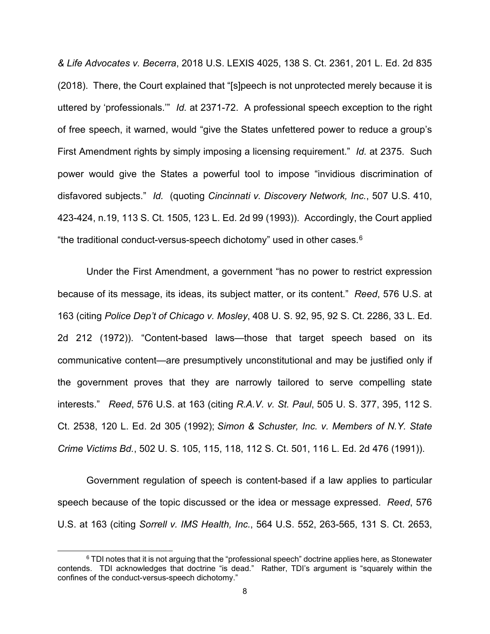*& Life Advocates v. Becerra*, 2018 U.S. LEXIS 4025, 138 S. Ct. 2361, 201 L. Ed. 2d 835 (2018). There, the Court explained that "[s]peech is not unprotected merely because it is uttered by 'professionals.'" *Id.* at 2371-72. A professional speech exception to the right of free speech, it warned, would "give the States unfettered power to reduce a group's First Amendment rights by simply imposing a licensing requirement." *Id.* at 2375. Such power would give the States a powerful tool to impose "invidious discrimination of disfavored subjects." *Id.* (quoting *Cincinnati v. Discovery Network, Inc.*, 507 U.S. 410, 423-424, n.19, 113 S. Ct. 1505, 123 L. Ed. 2d 99 (1993)). Accordingly, the Court applied "the traditional conduct-versus-speech dichotomy" used in other cases.[6](#page-7-0)

Under the First Amendment, a government "has no power to restrict expression because of its message, its ideas, its subject matter, or its content." *Reed*, 576 U.S. at 163 (citing *Police Dep't of Chicago v. Mosley*, 408 U. S. 92, 95, 92 S. Ct. 2286, 33 L. Ed. 2d 212 (1972)). "Content-based laws—those that target speech based on its communicative content—are presumptively unconstitutional and may be justified only if the government proves that they are narrowly tailored to serve compelling state interests." *Reed*, 576 U.S. at 163 (citing *R.A.V. v. St. Paul*, 505 U. S. 377, 395, 112 S. Ct. 2538, 120 L. Ed. 2d 305 (1992); *Simon & Schuster, Inc. v. Members of N.Y. State Crime Victims Bd.*, 502 U. S. 105, 115, 118, 112 S. Ct. 501, 116 L. Ed. 2d 476 (1991)).

Government regulation of speech is content-based if a law applies to particular speech because of the topic discussed or the idea or message expressed. *Reed*, 576 U.S. at 163 (citing *Sorrell v. IMS Health, Inc.*, 564 U.S. 552, 263-565, 131 S. Ct. 2653,

<span id="page-7-0"></span><sup>&</sup>lt;sup>6</sup> TDI notes that it is not arguing that the "professional speech" doctrine applies here, as Stonewater contends. TDI acknowledges that doctrine "is dead." Rather, TDI's argument is "squarely within the confines of the conduct-versus-speech dichotomy."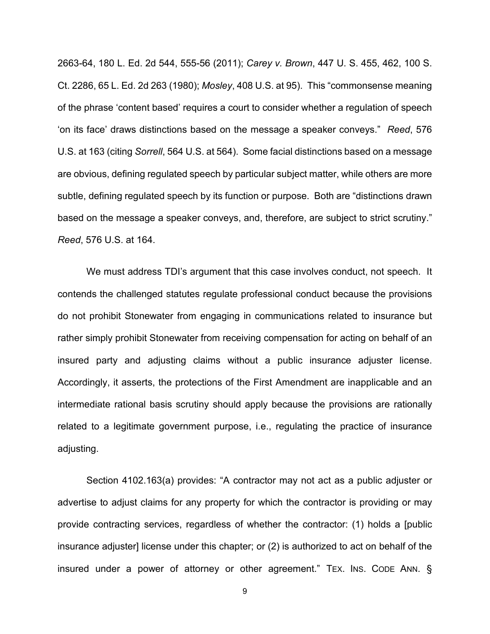2663-64, 180 L. Ed. 2d 544, 555-56 (2011); *Carey v. Brown*, 447 U. S. 455, 462, 100 S. Ct. 2286, 65 L. Ed. 2d 263 (1980); *Mosley*, 408 U.S. at 95). This "commonsense meaning of the phrase 'content based' requires a court to consider whether a regulation of speech 'on its face' draws distinctions based on the message a speaker conveys." *Reed*, 576 U.S. at 163 (citing *Sorrell*, 564 U.S. at 564). Some facial distinctions based on a message are obvious, defining regulated speech by particular subject matter, while others are more subtle, defining regulated speech by its function or purpose. Both are "distinctions drawn based on the message a speaker conveys, and, therefore, are subject to strict scrutiny." *Reed*, 576 U.S. at 164.

We must address TDI's argument that this case involves conduct, not speech. It contends the challenged statutes regulate professional conduct because the provisions do not prohibit Stonewater from engaging in communications related to insurance but rather simply prohibit Stonewater from receiving compensation for acting on behalf of an insured party and adjusting claims without a public insurance adjuster license. Accordingly, it asserts, the protections of the First Amendment are inapplicable and an intermediate rational basis scrutiny should apply because the provisions are rationally related to a legitimate government purpose, i.e., regulating the practice of insurance adjusting.

Section 4102.163(a) provides: "A contractor may not act as a public adjuster or advertise to adjust claims for any property for which the contractor is providing or may provide contracting services, regardless of whether the contractor: (1) holds a [public insurance adjuster] license under this chapter; or (2) is authorized to act on behalf of the insured under a power of attorney or other agreement." TEX. INS. CODE ANN. §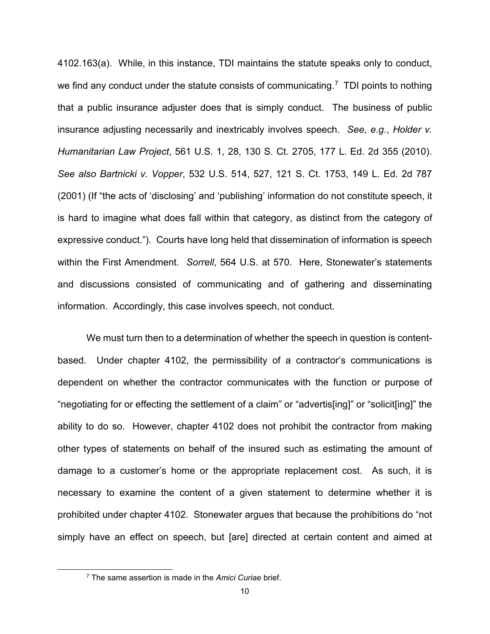4102.163(a). While, in this instance, TDI maintains the statute speaks only to conduct, we find any conduct under the statute consists of communicating.<sup>[7](#page-9-0)</sup> TDI points to nothing that a public insurance adjuster does that is simply conduct. The business of public insurance adjusting necessarily and inextricably involves speech. *See, e.g.*, *Holder v. Humanitarian Law Project*, 561 U.S. 1, 28, 130 S. Ct. 2705, 177 L. Ed. 2d 355 (2010). *See also Bartnicki v. Vopper*, 532 U.S. 514, 527, 121 S. Ct. 1753, 149 L. Ed. 2d 787 (2001) (If "the acts of 'disclosing' and 'publishing' information do not constitute speech, it is hard to imagine what does fall within that category, as distinct from the category of expressive conduct."). Courts have long held that dissemination of information is speech within the First Amendment. *Sorrell*, 564 U.S. at 570. Here, Stonewater's statements and discussions consisted of communicating and of gathering and disseminating information. Accordingly, this case involves speech, not conduct.

We must turn then to a determination of whether the speech in question is contentbased. Under chapter 4102, the permissibility of a contractor's communications is dependent on whether the contractor communicates with the function or purpose of "negotiating for or effecting the settlement of a claim" or "advertis[ing]" or "solicit[ing]" the ability to do so. However, chapter 4102 does not prohibit the contractor from making other types of statements on behalf of the insured such as estimating the amount of damage to a customer's home or the appropriate replacement cost. As such, it is necessary to examine the content of a given statement to determine whether it is prohibited under chapter 4102. Stonewater argues that because the prohibitions do "not simply have an effect on speech, but [are] directed at certain content and aimed at

<span id="page-9-0"></span><sup>7</sup> The same assertion is made in the *Amici Curiae* brief.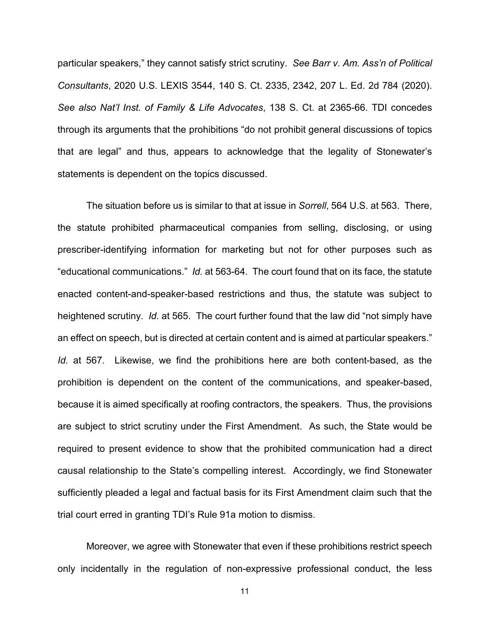particular speakers," they cannot satisfy strict scrutiny. *See Barr v. Am. Ass'n of Political Consultants*, 2020 U.S. LEXIS 3544, 140 S. Ct. 2335, 2342, 207 L. Ed. 2d 784 (2020). *See also Nat'l Inst. of Family & Life Advocates*, 138 S. Ct. at 2365-66. TDI concedes through its arguments that the prohibitions "do not prohibit general discussions of topics that are legal" and thus, appears to acknowledge that the legality of Stonewater's statements is dependent on the topics discussed.

The situation before us is similar to that at issue in *Sorrell*, 564 U.S. at 563. There, the statute prohibited pharmaceutical companies from selling, disclosing, or using prescriber-identifying information for marketing but not for other purposes such as "educational communications." *Id.* at 563-64. The court found that on its face, the statute enacted content-and-speaker-based restrictions and thus, the statute was subject to heightened scrutiny. *Id.* at 565. The court further found that the law did "not simply have an effect on speech, but is directed at certain content and is aimed at particular speakers." *Id.* at 567. Likewise, we find the prohibitions here are both content-based, as the prohibition is dependent on the content of the communications, and speaker-based, because it is aimed specifically at roofing contractors, the speakers. Thus, the provisions are subject to strict scrutiny under the First Amendment. As such, the State would be required to present evidence to show that the prohibited communication had a direct causal relationship to the State's compelling interest. Accordingly, we find Stonewater sufficiently pleaded a legal and factual basis for its First Amendment claim such that the trial court erred in granting TDI's Rule 91a motion to dismiss.

Moreover, we agree with Stonewater that even if these prohibitions restrict speech only incidentally in the regulation of non-expressive professional conduct, the less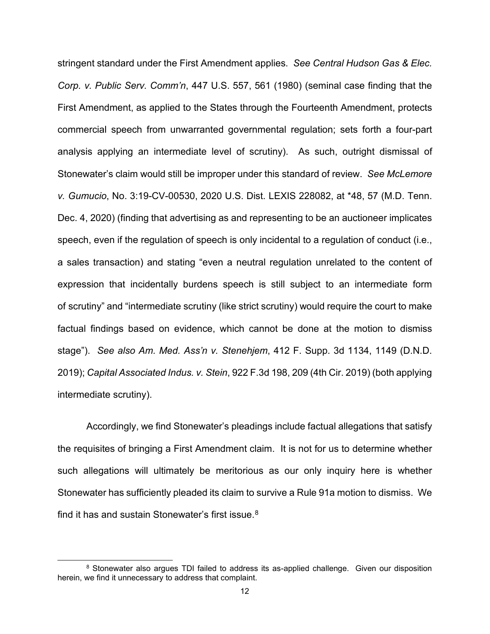stringent standard under the First Amendment applies. *See Central Hudson Gas & Elec. Corp. v. Public Serv. Comm'n*, 447 U.S. 557, 561 (1980) (seminal case finding that the First Amendment, as applied to the States through the Fourteenth Amendment, protects commercial speech from unwarranted governmental regulation; sets forth a four-part analysis applying an intermediate level of scrutiny). As such, outright dismissal of Stonewater's claim would still be improper under this standard of review. *See McLemore v. Gumucio*, No. 3:19-CV-00530, 2020 U.S. Dist. LEXIS 228082, at \*48, 57 (M.D. Tenn. Dec. 4, 2020) (finding that advertising as and representing to be an auctioneer implicates speech, even if the regulation of speech is only incidental to a regulation of conduct (i.e., a sales transaction) and stating "even a neutral regulation unrelated to the content of expression that incidentally burdens speech is still subject to an intermediate form of scrutiny" and "intermediate scrutiny (like strict scrutiny) would require the court to make factual findings based on evidence, which cannot be done at the motion to dismiss stage"). *See also Am. Med. Ass'n v. Stenehjem*, 412 F. Supp. 3d 1134, 1149 (D.N.D. 2019); *Capital Associated Indus. v. Stein*, 922 F.3d 198, 209 (4th Cir. 2019) (both applying intermediate scrutiny).

Accordingly, we find Stonewater's pleadings include factual allegations that satisfy the requisites of bringing a First Amendment claim. It is not for us to determine whether such allegations will ultimately be meritorious as our only inquiry here is whether Stonewater has sufficiently pleaded its claim to survive a Rule 91a motion to dismiss. We find it has and sustain Stonewater's first issue.<sup>[8](#page-11-0)</sup>

<span id="page-11-0"></span><sup>8</sup> Stonewater also argues TDI failed to address its as-applied challenge. Given our disposition herein, we find it unnecessary to address that complaint.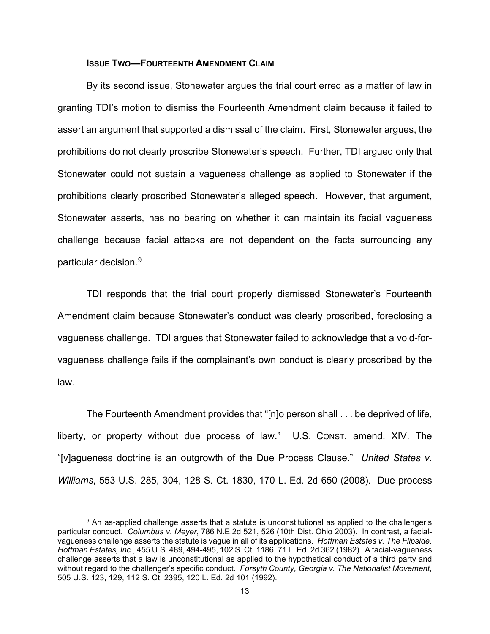#### **ISSUE TWO—FOURTEENTH AMENDMENT CLAIM**

By its second issue, Stonewater argues the trial court erred as a matter of law in granting TDI's motion to dismiss the Fourteenth Amendment claim because it failed to assert an argument that supported a dismissal of the claim. First, Stonewater argues, the prohibitions do not clearly proscribe Stonewater's speech. Further, TDI argued only that Stonewater could not sustain a vagueness challenge as applied to Stonewater if the prohibitions clearly proscribed Stonewater's alleged speech. However, that argument, Stonewater asserts, has no bearing on whether it can maintain its facial vagueness challenge because facial attacks are not dependent on the facts surrounding any particular decision. [9](#page-12-0)

TDI responds that the trial court properly dismissed Stonewater's Fourteenth Amendment claim because Stonewater's conduct was clearly proscribed, foreclosing a vagueness challenge. TDI argues that Stonewater failed to acknowledge that a void-forvagueness challenge fails if the complainant's own conduct is clearly proscribed by the law.

The Fourteenth Amendment provides that "[n]o person shall . . . be deprived of life, liberty, or property without due process of law." U.S. CONST. amend. XIV. The "[v]agueness doctrine is an outgrowth of the Due Process Clause." *United States v. Williams*, 553 U.S. 285, 304, 128 S. Ct. 1830, 170 L. Ed. 2d 650 (2008). Due process

<span id="page-12-0"></span><sup>9</sup> An as-applied challenge asserts that a statute is unconstitutional as applied to the challenger's particular conduct. *Columbus v. Meyer*, 786 N.E.2d 521, 526 (10th Dist. Ohio 2003). In contrast, a facialvagueness challenge asserts the statute is vague in all of its applications. *Hoffman Estates v. The Flipside, Hoffman Estates, Inc*., 455 U.S. 489, 494-495, 102 S. Ct. 1186, 71 L. Ed. 2d 362 (1982). A facial-vagueness challenge asserts that a law is unconstitutional as applied to the hypothetical conduct of a third party and without regard to the challenger's specific conduct. *Forsyth County, Georgia v. The Nationalist Movement*, 505 U.S. 123, 129, 112 S. Ct. 2395, 120 L. Ed. 2d 101 (1992).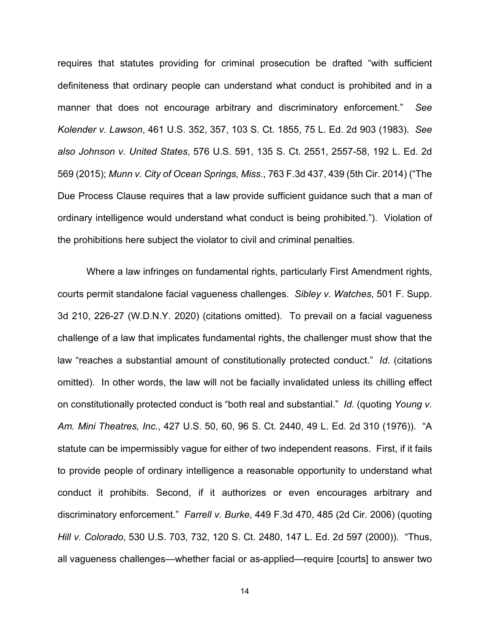requires that statutes providing for criminal prosecution be drafted "with sufficient definiteness that ordinary people can understand what conduct is prohibited and in a manner that does not encourage arbitrary and discriminatory enforcement." *See Kolender v. Lawson*, 461 U.S. 352, 357, 103 S. Ct. 1855, 75 L. Ed. 2d 903 (1983). *See also Johnson v. United States*, 576 U.S. 591, 135 S. Ct. 2551, 2557-58, 192 L. Ed. 2d 569 (2015); *Munn v. City of Ocean Springs, Miss*., 763 F.3d 437, 439 (5th Cir. 2014) ("The Due Process Clause requires that a law provide sufficient guidance such that a man of ordinary intelligence would understand what conduct is being prohibited."). Violation of the prohibitions here subject the violator to civil and criminal penalties.

Where a law infringes on fundamental rights, particularly First Amendment rights, courts permit standalone facial vagueness challenges. *Sibley v. Watches*, 501 F. Supp. 3d 210, 226-27 (W.D.N.Y. 2020) (citations omitted). To prevail on a facial vagueness challenge of a law that implicates fundamental rights, the challenger must show that the law "reaches a substantial amount of constitutionally protected conduct." *Id.* (citations omitted). In other words, the law will not be facially invalidated unless its chilling effect on constitutionally protected conduct is "both real and substantial." *Id.* (quoting *Young v. Am. Mini Theatres, Inc.*, 427 U.S. 50, 60, 96 S. Ct. 2440, 49 L. Ed. 2d 310 (1976)). "A statute can be impermissibly vague for either of two independent reasons. First, if it fails to provide people of ordinary intelligence a reasonable opportunity to understand what conduct it prohibits. Second, if it authorizes or even encourages arbitrary and discriminatory enforcement." *Farrell v. Burke*, 449 F.3d 470, 485 (2d Cir. 2006) (quoting *Hill v. Colorado*, 530 U.S. 703, 732, 120 S. Ct. 2480, 147 L. Ed. 2d 597 (2000)). "Thus, all vagueness challenges—whether facial or as-applied—require [courts] to answer two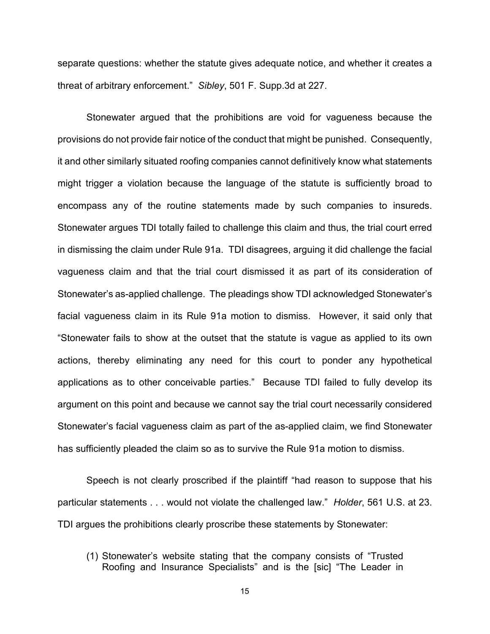separate questions: whether the statute gives adequate notice, and whether it creates a threat of arbitrary enforcement." *Sibley*, 501 F. Supp.3d at 227.

Stonewater argued that the prohibitions are void for vagueness because the provisions do not provide fair notice of the conduct that might be punished. Consequently, it and other similarly situated roofing companies cannot definitively know what statements might trigger a violation because the language of the statute is sufficiently broad to encompass any of the routine statements made by such companies to insureds. Stonewater argues TDI totally failed to challenge this claim and thus, the trial court erred in dismissing the claim under Rule 91a. TDI disagrees, arguing it did challenge the facial vagueness claim and that the trial court dismissed it as part of its consideration of Stonewater's as-applied challenge. The pleadings show TDI acknowledged Stonewater's facial vagueness claim in its Rule 91a motion to dismiss. However, it said only that "Stonewater fails to show at the outset that the statute is vague as applied to its own actions, thereby eliminating any need for this court to ponder any hypothetical applications as to other conceivable parties." Because TDI failed to fully develop its argument on this point and because we cannot say the trial court necessarily considered Stonewater's facial vagueness claim as part of the as-applied claim, we find Stonewater has sufficiently pleaded the claim so as to survive the Rule 91a motion to dismiss.

Speech is not clearly proscribed if the plaintiff "had reason to suppose that his particular statements . . . would not violate the challenged law." *Holder*, 561 U.S. at 23. TDI argues the prohibitions clearly proscribe these statements by Stonewater:

(1) Stonewater's website stating that the company consists of "Trusted Roofing and Insurance Specialists" and is the [sic] "The Leader in